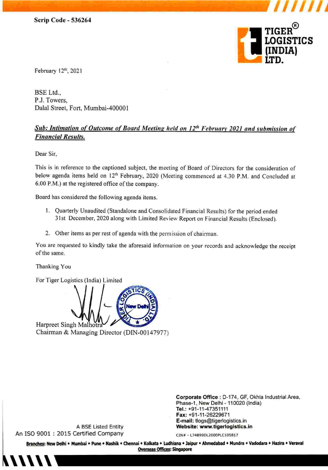

*I/Ill/* 

February 12<sup>th</sup>, 2021

BSE Ltd., P.J. Towers, Dalal Street, Fort, Mumbai-400001

## **Sub: Intimation of Outcome of Board Meeting held on 12<sup>th</sup> February 2021 and submission of Financial Results.**

Dear Sir,

This is in reference to the captioned subject, the meeting of Board of Directors for the consideration of below agenda items held on 12'h February, 2020 (Meeting commenced at 4.30 P.M. and Concluded at 6.00 P.M.) at the registered office of the company.

Board has considered the following agenda items.

- I. Quarterly Unaudited (Standalone and Consolidated Financial Results) for the period ended 31st December, 2020 along with Limited Review Report on Financial Results (Enclosed).
- 2. Other items as per rest of agenda with the permission of chairman.

You are requested to kindly take the aforesaid information on your records and acknowledge the receipt of the same.

Thanking You

For Tiger Logistics (India) Limited



Chairman & Managing Director (DIN-00147977)

A BSE Listed Entity

Corporate Office : D-174, GF, Okhla Industrial Area, Phase-1, New Delhi - 110020 (India) Tel.: +91-11-47351111 Fax: +91-11-26229671 E-mail: tlogs@tigerlogistics.in Website: www.tigerlogistlcs.in

An ISO 9001 : 2015 Certified Company

**ON# - L74899DL2000PLC10SB17** 

Branches: New Delhi • Mumbai • Pune • Nashik • Chennai • Kolkata • Ludhiana • Jaipur • Ahmedabad • Mundra • Vadodara • Hazira • Veraval **Overseas Offices: Singapore**